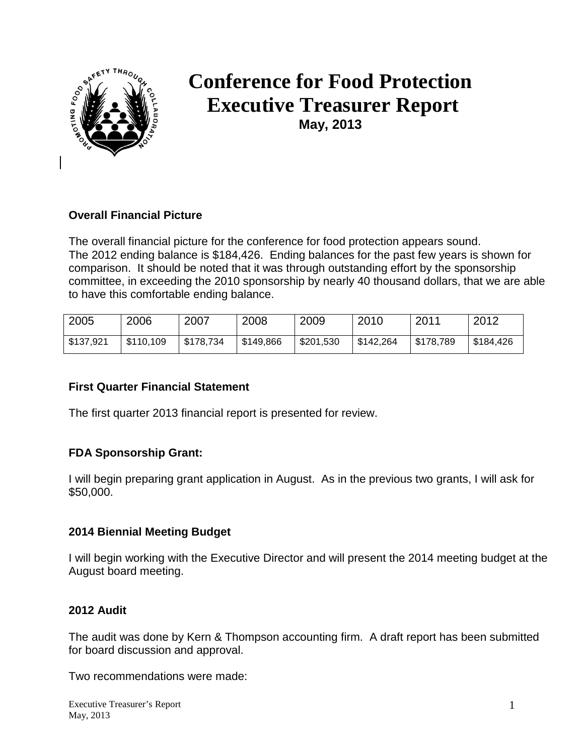

# **Conference for Food Protection Executive Treasurer Report May, 2013**

## **Overall Financial Picture**

The overall financial picture for the conference for food protection appears sound. The 2012 ending balance is \$184,426. Ending balances for the past few years is shown for comparison. It should be noted that it was through outstanding effort by the sponsorship committee, in exceeding the 2010 sponsorship by nearly 40 thousand dollars, that we are able to have this comfortable ending balance.

| 2005      | 2006      | 2007      | 2008      | 2009      | 2010      | 2011      | 2012      |
|-----------|-----------|-----------|-----------|-----------|-----------|-----------|-----------|
| \$137,921 | \$110,109 | \$178,734 | \$149,866 | \$201,530 | \$142,264 | \$178,789 | \$184,426 |

## **First Quarter Financial Statement**

The first quarter 2013 financial report is presented for review.

## **FDA Sponsorship Grant:**

I will begin preparing grant application in August. As in the previous two grants, I will ask for \$50,000.

#### **2014 Biennial Meeting Budget**

I will begin working with the Executive Director and will present the 2014 meeting budget at the August board meeting.

#### **2012 Audit**

The audit was done by Kern & Thompson accounting firm. A draft report has been submitted for board discussion and approval.

Two recommendations were made: